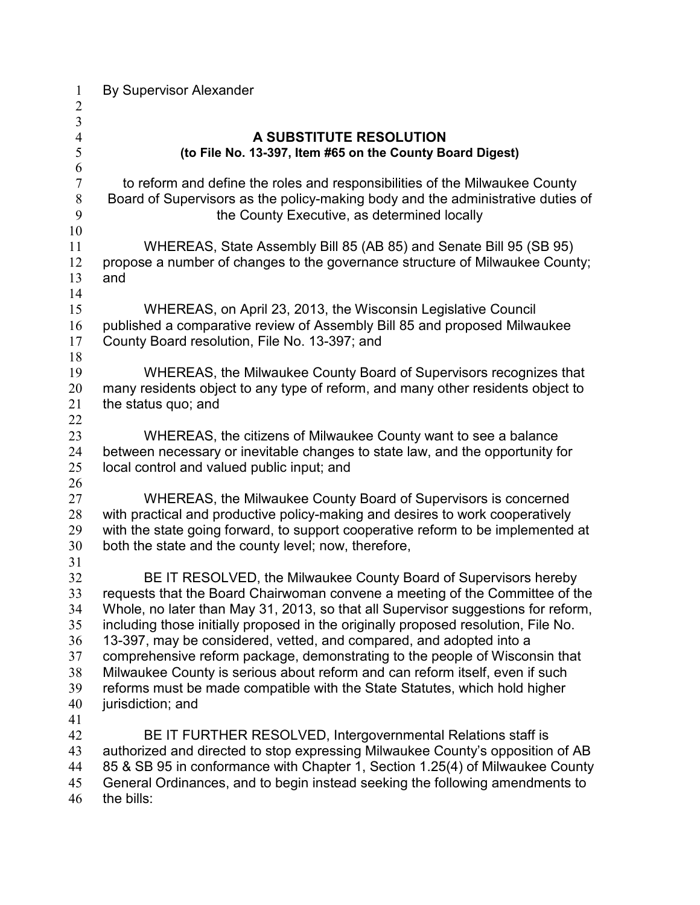| $\mathbf{1}$<br>$\overline{c}$                           | <b>By Supervisor Alexander</b>                                                                                                                                                                                                                                                                                                                                                                                                                                                                                                                                                                                                                                       |
|----------------------------------------------------------|----------------------------------------------------------------------------------------------------------------------------------------------------------------------------------------------------------------------------------------------------------------------------------------------------------------------------------------------------------------------------------------------------------------------------------------------------------------------------------------------------------------------------------------------------------------------------------------------------------------------------------------------------------------------|
| $\overline{\mathbf{3}}$                                  |                                                                                                                                                                                                                                                                                                                                                                                                                                                                                                                                                                                                                                                                      |
| $\overline{4}$<br>5<br>6                                 | A SUBSTITUTE RESOLUTION<br>(to File No. 13-397, Item #65 on the County Board Digest)                                                                                                                                                                                                                                                                                                                                                                                                                                                                                                                                                                                 |
| $\boldsymbol{7}$<br>$\,8\,$<br>9<br>10                   | to reform and define the roles and responsibilities of the Milwaukee County<br>Board of Supervisors as the policy-making body and the administrative duties of<br>the County Executive, as determined locally                                                                                                                                                                                                                                                                                                                                                                                                                                                        |
| 11<br>12<br>13<br>14                                     | WHEREAS, State Assembly Bill 85 (AB 85) and Senate Bill 95 (SB 95)<br>propose a number of changes to the governance structure of Milwaukee County;<br>and                                                                                                                                                                                                                                                                                                                                                                                                                                                                                                            |
| 15<br>16<br>17<br>18                                     | WHEREAS, on April 23, 2013, the Wisconsin Legislative Council<br>published a comparative review of Assembly Bill 85 and proposed Milwaukee<br>County Board resolution, File No. 13-397; and                                                                                                                                                                                                                                                                                                                                                                                                                                                                          |
| 19<br>20<br>21<br>22                                     | WHEREAS, the Milwaukee County Board of Supervisors recognizes that<br>many residents object to any type of reform, and many other residents object to<br>the status quo; and                                                                                                                                                                                                                                                                                                                                                                                                                                                                                         |
| 23<br>24<br>25<br>26                                     | WHEREAS, the citizens of Milwaukee County want to see a balance<br>between necessary or inevitable changes to state law, and the opportunity for<br>local control and valued public input; and                                                                                                                                                                                                                                                                                                                                                                                                                                                                       |
| 27<br>28<br>29<br>30<br>31                               | WHEREAS, the Milwaukee County Board of Supervisors is concerned<br>with practical and productive policy-making and desires to work cooperatively<br>with the state going forward, to support cooperative reform to be implemented at<br>both the state and the county level; now, therefore,                                                                                                                                                                                                                                                                                                                                                                         |
| 32<br>33<br>34<br>35<br>36<br>37<br>38<br>39<br>40<br>41 | BE IT RESOLVED, the Milwaukee County Board of Supervisors hereby<br>requests that the Board Chairwoman convene a meeting of the Committee of the<br>Whole, no later than May 31, 2013, so that all Supervisor suggestions for reform,<br>including those initially proposed in the originally proposed resolution, File No.<br>13-397, may be considered, vetted, and compared, and adopted into a<br>comprehensive reform package, demonstrating to the people of Wisconsin that<br>Milwaukee County is serious about reform and can reform itself, even if such<br>reforms must be made compatible with the State Statutes, which hold higher<br>jurisdiction; and |
| 42<br>43<br>44<br>45<br>46                               | BE IT FURTHER RESOLVED, Intergovernmental Relations staff is<br>authorized and directed to stop expressing Milwaukee County's opposition of AB<br>85 & SB 95 in conformance with Chapter 1, Section 1.25(4) of Milwaukee County<br>General Ordinances, and to begin instead seeking the following amendments to<br>the bills:                                                                                                                                                                                                                                                                                                                                        |